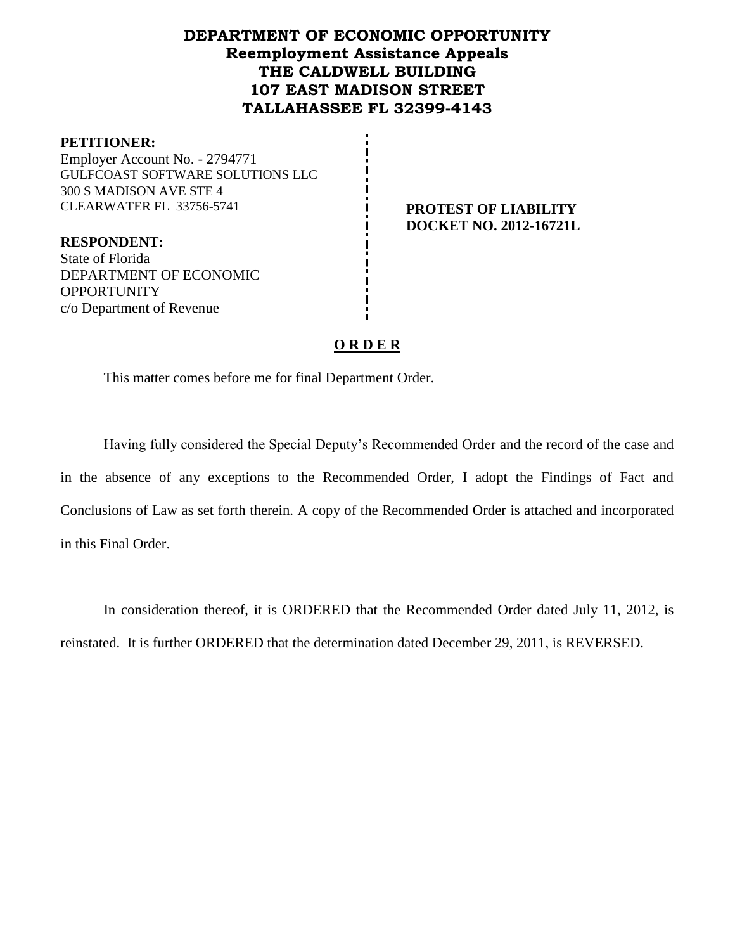# **DEPARTMENT OF ECONOMIC OPPORTUNITY Reemployment Assistance Appeals THE CALDWELL BUILDING 107 EAST MADISON STREET TALLAHASSEE FL 32399-4143**

#### **PETITIONER:**

Employer Account No. - 2794771 GULFCOAST SOFTWARE SOLUTIONS LLC 300 S MADISON AVE STE 4 CLEARWATER FL 33756-5741 **PROTEST OF LIABILITY**

# **DOCKET NO. 2012-16721L**

**RESPONDENT:** State of Florida DEPARTMENT OF ECONOMIC **OPPORTUNITY** c/o Department of Revenue

### **O R D E R**

This matter comes before me for final Department Order.

Having fully considered the Special Deputy's Recommended Order and the record of the case and in the absence of any exceptions to the Recommended Order, I adopt the Findings of Fact and Conclusions of Law as set forth therein. A copy of the Recommended Order is attached and incorporated in this Final Order.

In consideration thereof, it is ORDERED that the Recommended Order dated July 11, 2012, is reinstated. It is further ORDERED that the determination dated December 29, 2011, is REVERSED.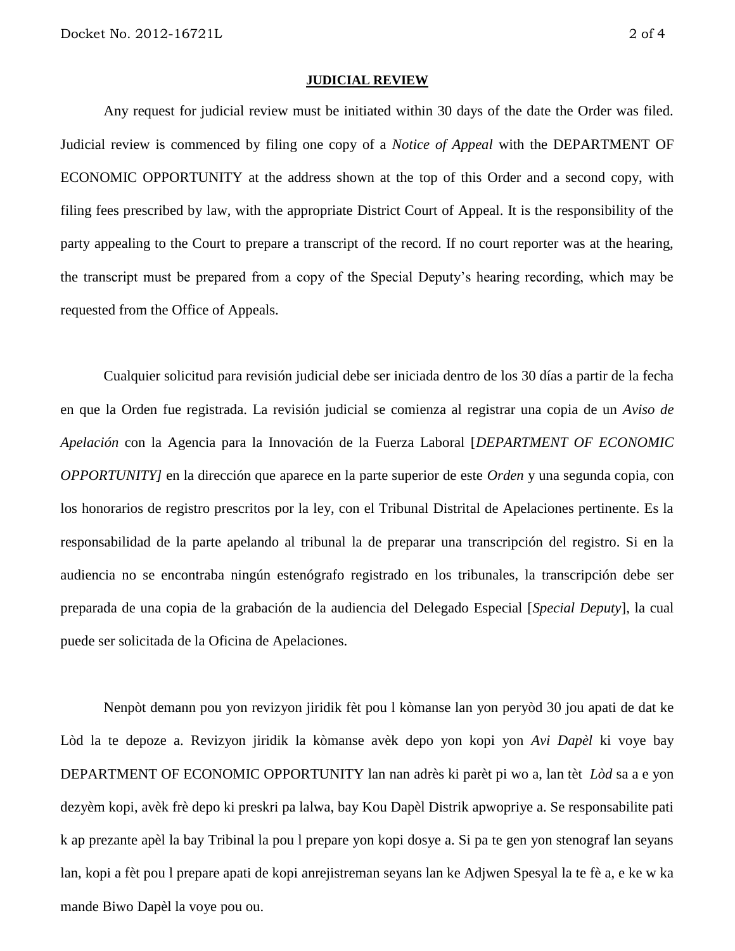#### **JUDICIAL REVIEW**

Any request for judicial review must be initiated within 30 days of the date the Order was filed. Judicial review is commenced by filing one copy of a *Notice of Appeal* with the DEPARTMENT OF ECONOMIC OPPORTUNITY at the address shown at the top of this Order and a second copy, with filing fees prescribed by law, with the appropriate District Court of Appeal. It is the responsibility of the party appealing to the Court to prepare a transcript of the record. If no court reporter was at the hearing, the transcript must be prepared from a copy of the Special Deputy's hearing recording, which may be requested from the Office of Appeals.

Cualquier solicitud para revisión judicial debe ser iniciada dentro de los 30 días a partir de la fecha en que la Orden fue registrada. La revisión judicial se comienza al registrar una copia de un *Aviso de Apelación* con la Agencia para la Innovación de la Fuerza Laboral [*DEPARTMENT OF ECONOMIC OPPORTUNITY]* en la dirección que aparece en la parte superior de este *Orden* y una segunda copia, con los honorarios de registro prescritos por la ley, con el Tribunal Distrital de Apelaciones pertinente. Es la responsabilidad de la parte apelando al tribunal la de preparar una transcripción del registro. Si en la audiencia no se encontraba ningún estenógrafo registrado en los tribunales, la transcripción debe ser preparada de una copia de la grabación de la audiencia del Delegado Especial [*Special Deputy*], la cual puede ser solicitada de la Oficina de Apelaciones.

Nenpòt demann pou yon revizyon jiridik fèt pou l kòmanse lan yon peryòd 30 jou apati de dat ke Lòd la te depoze a. Revizyon jiridik la kòmanse avèk depo yon kopi yon *Avi Dapèl* ki voye bay DEPARTMENT OF ECONOMIC OPPORTUNITY lan nan adrès ki parèt pi wo a, lan tèt *Lòd* sa a e yon dezyèm kopi, avèk frè depo ki preskri pa lalwa, bay Kou Dapèl Distrik apwopriye a. Se responsabilite pati k ap prezante apèl la bay Tribinal la pou l prepare yon kopi dosye a. Si pa te gen yon stenograf lan seyans lan, kopi a fèt pou l prepare apati de kopi anrejistreman seyans lan ke Adjwen Spesyal la te fè a, e ke w ka mande Biwo Dapèl la voye pou ou.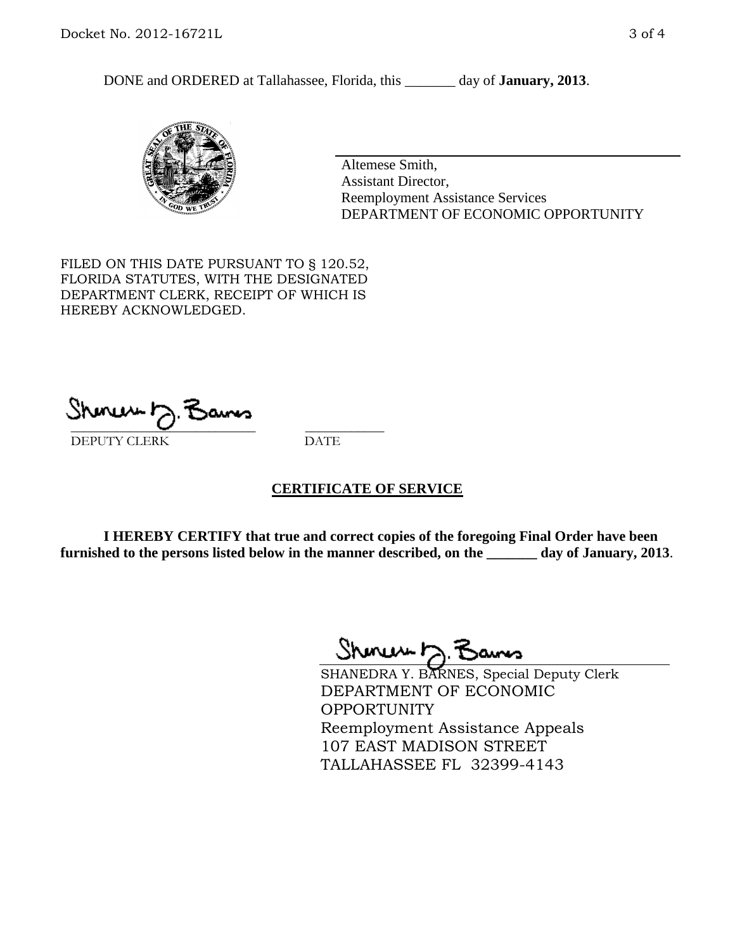DONE and ORDERED at Tallahassee, Florida, this \_\_\_\_\_\_\_ day of **January, 2013**.



Altemese Smith, Assistant Director, Reemployment Assistance Services DEPARTMENT OF ECONOMIC OPPORTUNITY

FILED ON THIS DATE PURSUANT TO § 120.52, FLORIDA STATUTES, WITH THE DESIGNATED DEPARTMENT CLERK, RECEIPT OF WHICH IS HEREBY ACKNOWLEDGED.

 $\overline{\phantom{a}}$  ,  $\overline{\phantom{a}}$  ,  $\overline{\phantom{a}}$  ,  $\overline{\phantom{a}}$  ,  $\overline{\phantom{a}}$  ,  $\overline{\phantom{a}}$  ,  $\overline{\phantom{a}}$  ,  $\overline{\phantom{a}}$ DEPUTY CLERK DATE

#### **CERTIFICATE OF SERVICE**

**I HEREBY CERTIFY that true and correct copies of the foregoing Final Order have been furnished to the persons listed below in the manner described, on the \_\_\_\_\_\_\_ day of January, 2013**.

Shenux D.F

SHANEDRA Y. BARNES, Special Deputy Clerk DEPARTMENT OF ECONOMIC OPPORTUNITY Reemployment Assistance Appeals 107 EAST MADISON STREET TALLAHASSEE FL 32399-4143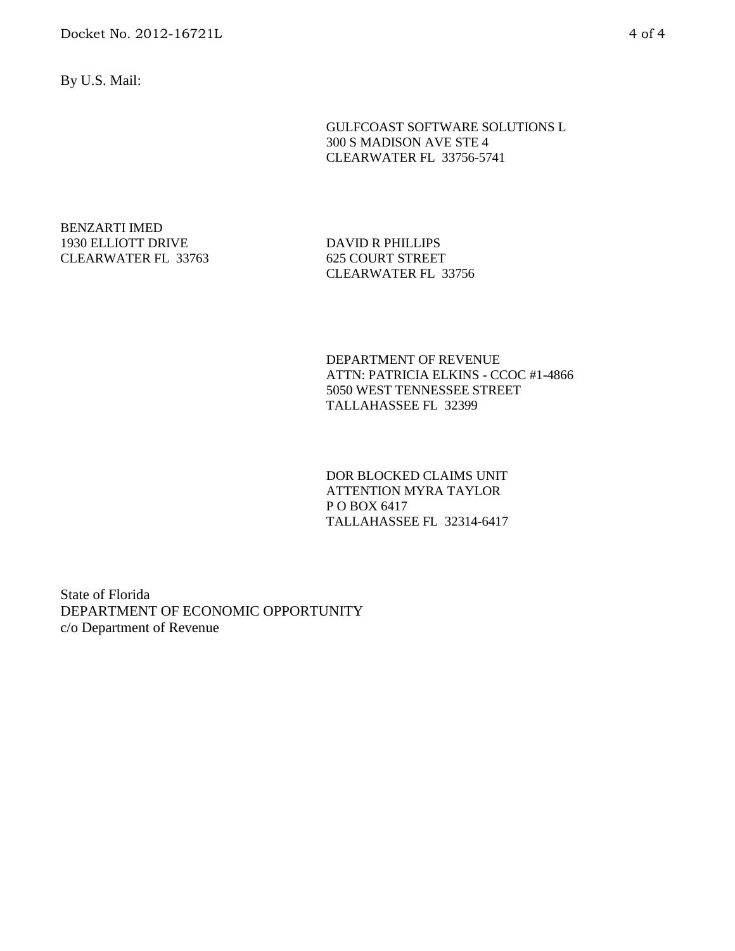By U.S. Mail:

GULFCOAST SOFTWARE SOLUTIONS L 300 S MADISON AVE STE 4 CLEARWATER FL 33756-5741

BENZARTI IMED 1930 ELLIOTT DRIVE CLEARWATER FL 33763

DAVID R PHILLIPS 625 COURT STREET CLEARWATER FL 33756

DEPARTMENT OF REVENUE ATTN: PATRICIA ELKINS - CCOC #1-4866 5050 WEST TENNESSEE STREET TALLAHASSEE FL 32399

DOR BLOCKED CLAIMS UNIT ATTENTION MYRA TAYLOR P O BOX 6417 TALLAHASSEE FL 32314-6417

State of Florida DEPARTMENT OF ECONOMIC OPPORTUNITY c/o Department of Revenue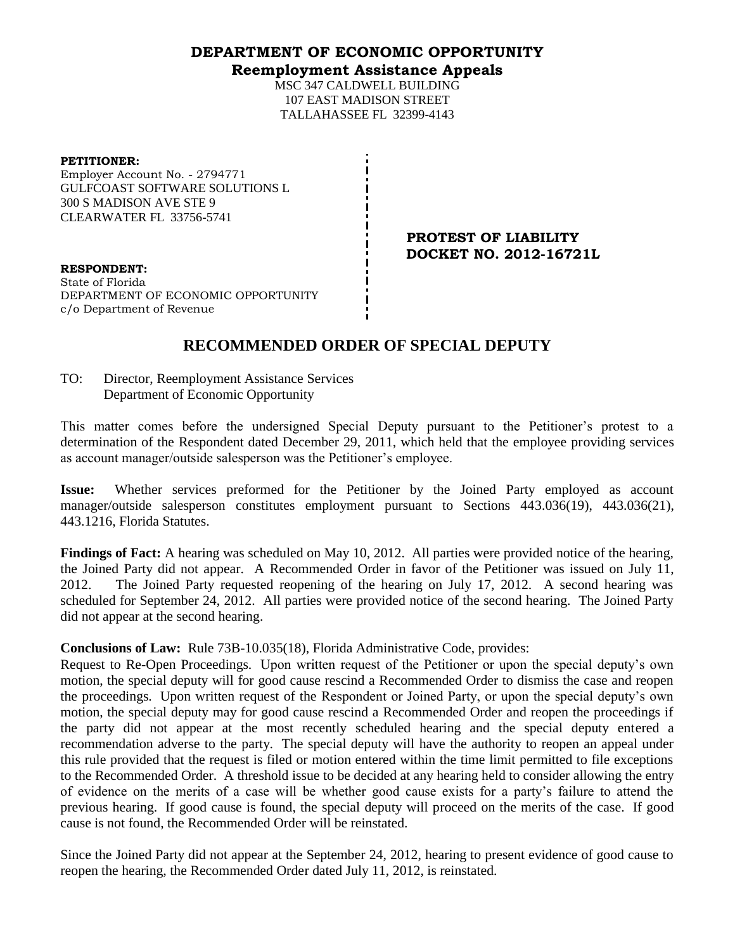#### **DEPARTMENT OF ECONOMIC OPPORTUNITY Reemployment Assistance Appeals**

MSC 347 CALDWELL BUILDING 107 EAST MADISON STREET TALLAHASSEE FL 32399-4143

#### **PETITIONER:**

Employer Account No. - 2794771 GULFCOAST SOFTWARE SOLUTIONS L 300 S MADISON AVE STE 9 CLEARWATER FL 33756-5741

> **PROTEST OF LIABILITY DOCKET NO. 2012-16721L**

**RESPONDENT:** State of Florida DEPARTMENT OF ECONOMIC OPPORTUNITY c/o Department of Revenue

# **RECOMMENDED ORDER OF SPECIAL DEPUTY**

TO: Director, Reemployment Assistance Services Department of Economic Opportunity

This matter comes before the undersigned Special Deputy pursuant to the Petitioner's protest to a determination of the Respondent dated December 29, 2011, which held that the employee providing services as account manager/outside salesperson was the Petitioner's employee.

**Issue:** Whether services preformed for the Petitioner by the Joined Party employed as account manager/outside salesperson constitutes employment pursuant to Sections 443.036(19), 443.036(21), 443.1216, Florida Statutes.

**Findings of Fact:** A hearing was scheduled on May 10, 2012. All parties were provided notice of the hearing, the Joined Party did not appear. A Recommended Order in favor of the Petitioner was issued on July 11, 2012. The Joined Party requested reopening of the hearing on July 17, 2012. A second hearing was scheduled for September 24, 2012. All parties were provided notice of the second hearing. The Joined Party did not appear at the second hearing.

#### **Conclusions of Law:** Rule 73B-10.035(18), Florida Administrative Code, provides:

Request to Re-Open Proceedings. Upon written request of the Petitioner or upon the special deputy's own motion, the special deputy will for good cause rescind a Recommended Order to dismiss the case and reopen the proceedings. Upon written request of the Respondent or Joined Party, or upon the special deputy's own motion, the special deputy may for good cause rescind a Recommended Order and reopen the proceedings if the party did not appear at the most recently scheduled hearing and the special deputy entered a recommendation adverse to the party. The special deputy will have the authority to reopen an appeal under this rule provided that the request is filed or motion entered within the time limit permitted to file exceptions to the Recommended Order. A threshold issue to be decided at any hearing held to consider allowing the entry of evidence on the merits of a case will be whether good cause exists for a party's failure to attend the previous hearing. If good cause is found, the special deputy will proceed on the merits of the case. If good cause is not found, the Recommended Order will be reinstated.

Since the Joined Party did not appear at the September 24, 2012, hearing to present evidence of good cause to reopen the hearing, the Recommended Order dated July 11, 2012, is reinstated.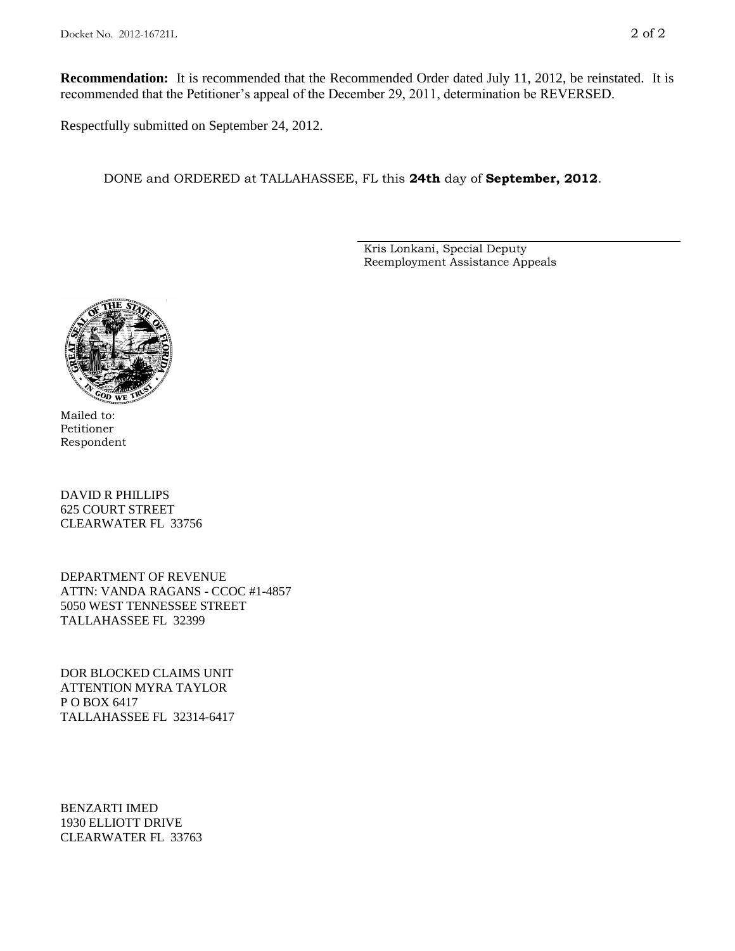**Recommendation:** It is recommended that the Recommended Order dated July 11, 2012, be reinstated. It is recommended that the Petitioner's appeal of the December 29, 2011, determination be REVERSED.

Respectfully submitted on September 24, 2012.

DONE and ORDERED at TALLAHASSEE, FL this **24th** day of **September, 2012**.

Kris Lonkani, Special Deputy Reemployment Assistance Appeals



Mailed to: Petitioner Respondent

DAVID R PHILLIPS 625 COURT STREET CLEARWATER FL 33756

DEPARTMENT OF REVENUE ATTN: VANDA RAGANS - CCOC #1-4857 5050 WEST TENNESSEE STREET TALLAHASSEE FL 32399

DOR BLOCKED CLAIMS UNIT ATTENTION MYRA TAYLOR P O BOX 6417 TALLAHASSEE FL 32314-6417

BENZARTI IMED 1930 ELLIOTT DRIVE CLEARWATER FL 33763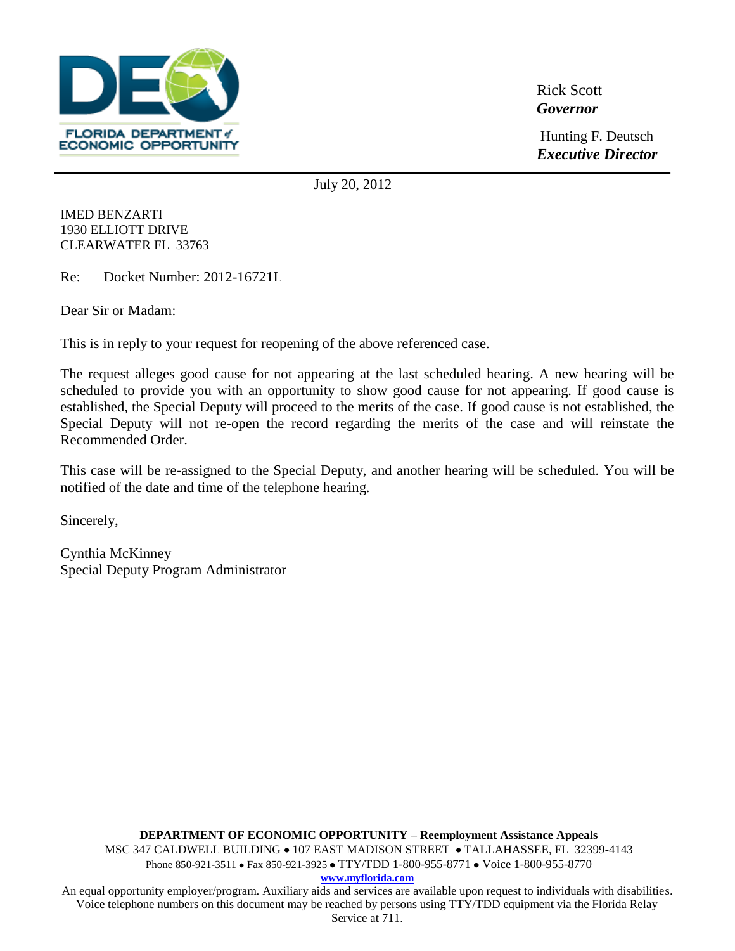

Rick Scott *Governor*

Hunting F. Deutsch *Executive Director*

July 20, 2012

IMED BENZARTI 1930 ELLIOTT DRIVE CLEARWATER FL 33763

Re: Docket Number: 2012-16721L

Dear Sir or Madam:

This is in reply to your request for reopening of the above referenced case.

The request alleges good cause for not appearing at the last scheduled hearing. A new hearing will be scheduled to provide you with an opportunity to show good cause for not appearing. If good cause is established, the Special Deputy will proceed to the merits of the case. If good cause is not established, the Special Deputy will not re-open the record regarding the merits of the case and will reinstate the Recommended Order.

This case will be re-assigned to the Special Deputy, and another hearing will be scheduled. You will be notified of the date and time of the telephone hearing.

Sincerely,

Cynthia McKinney Special Deputy Program Administrator

**DEPARTMENT OF ECONOMIC OPPORTUNITY – Reemployment Assistance Appeals** MSC 347 CALDWELL BUILDING • 107 EAST MADISON STREET • TALLAHASSEE, FL 32399-4143 Phone 850-921-3511 • Fax 850-921-3925 • TTY/TDD 1-800-955-8771 • Voice 1-800-955-8770 **www.myflorida.com** An equal opportunity employer/program. Auxiliary aids and services are available upon request to individuals with disabilities.

Voice telephone numbers on this document may be reached by persons using TTY/TDD equipment via the Florida Relay Service at 711.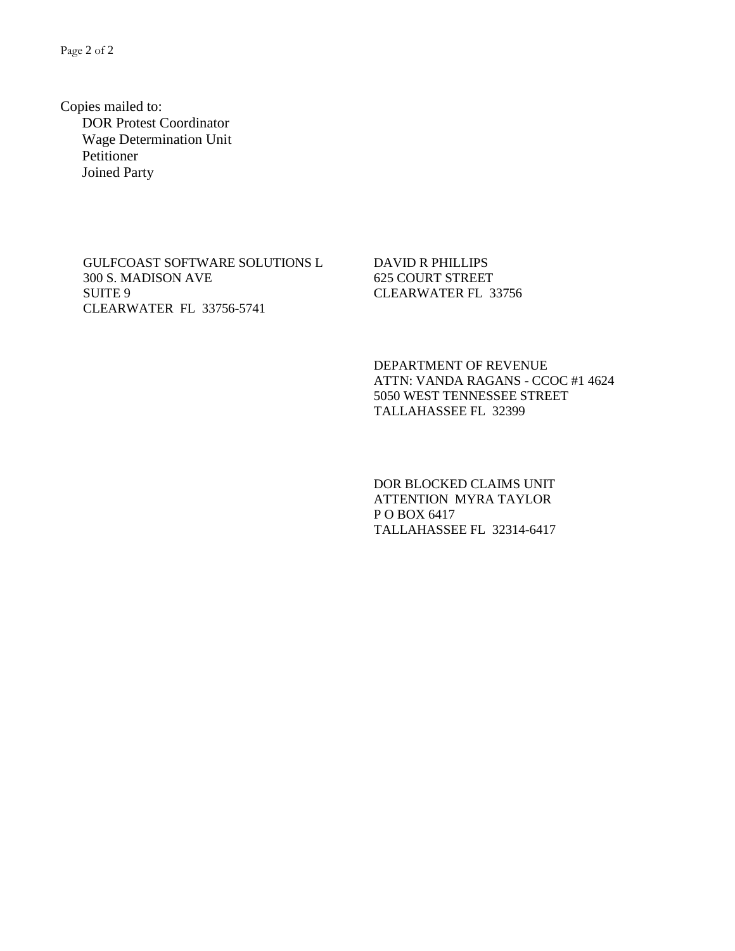Page 2 of 2

Copies mailed to: DOR Protest Coordinator Wage Determination Unit Petitioner Joined Party

> GULFCOAST SOFTWARE SOLUTIONS L 300 S. MADISON AVE SUITE 9 CLEARWATER FL 33756-5741

DAVID R PHILLIPS 625 COURT STREET CLEARWATER FL 33756

DEPARTMENT OF REVENUE ATTN: VANDA RAGANS - CCOC #1 4624 5050 WEST TENNESSEE STREET TALLAHASSEE FL 32399

DOR BLOCKED CLAIMS UNIT ATTENTION MYRA TAYLOR P O BOX 6417 TALLAHASSEE FL 32314-6417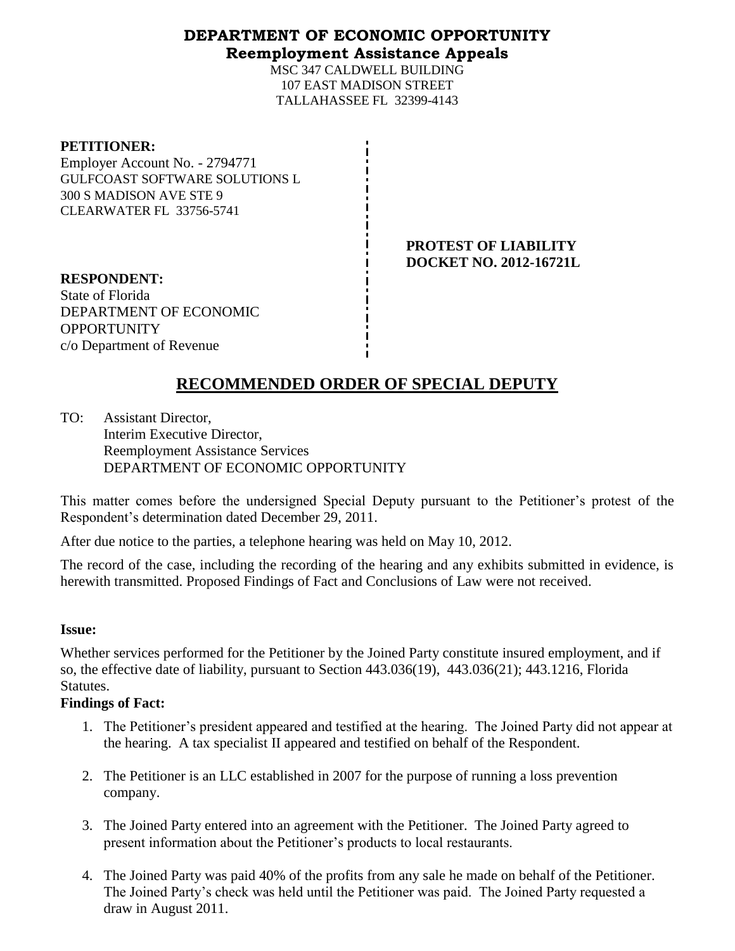## **DEPARTMENT OF ECONOMIC OPPORTUNITY Reemployment Assistance Appeals**

MSC 347 CALDWELL BUILDING 107 EAST MADISON STREET TALLAHASSEE FL 32399-4143

#### **PETITIONER:**

Employer Account No. - 2794771 GULFCOAST SOFTWARE SOLUTIONS L 300 S MADISON AVE STE 9 CLEARWATER FL 33756-5741

> **PROTEST OF LIABILITY DOCKET NO. 2012-16721L**

**RESPONDENT:** State of Florida DEPARTMENT OF ECONOMIC OPPORTUNITY c/o Department of Revenue

# **RECOMMENDED ORDER OF SPECIAL DEPUTY**

TO: Assistant Director, Interim Executive Director, Reemployment Assistance Services DEPARTMENT OF ECONOMIC OPPORTUNITY

This matter comes before the undersigned Special Deputy pursuant to the Petitioner's protest of the Respondent's determination dated December 29, 2011.

After due notice to the parties, a telephone hearing was held on May 10, 2012.

The record of the case, including the recording of the hearing and any exhibits submitted in evidence, is herewith transmitted. Proposed Findings of Fact and Conclusions of Law were not received.

#### **Issue:**

Whether services performed for the Petitioner by the Joined Party constitute insured employment, and if so, the effective date of liability, pursuant to Section 443.036(19), 443.036(21); 443.1216, Florida Statutes.

#### **Findings of Fact:**

- 1. The Petitioner's president appeared and testified at the hearing. The Joined Party did not appear at the hearing. A tax specialist II appeared and testified on behalf of the Respondent.
- 2. The Petitioner is an LLC established in 2007 for the purpose of running a loss prevention company.
- 3. The Joined Party entered into an agreement with the Petitioner. The Joined Party agreed to present information about the Petitioner's products to local restaurants.
- 4. The Joined Party was paid 40% of the profits from any sale he made on behalf of the Petitioner. The Joined Party's check was held until the Petitioner was paid. The Joined Party requested a draw in August 2011.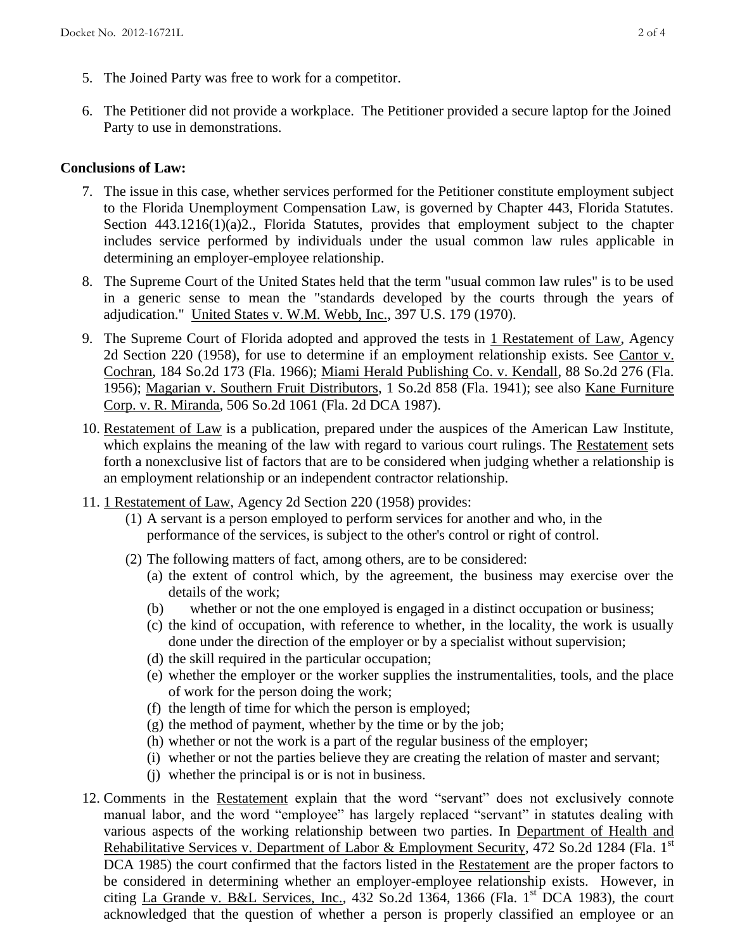- 5. The Joined Party was free to work for a competitor.
- 6. The Petitioner did not provide a workplace. The Petitioner provided a secure laptop for the Joined Party to use in demonstrations.

## **Conclusions of Law:**

- 7. The issue in this case, whether services performed for the Petitioner constitute employment subject to the Florida Unemployment Compensation Law, is governed by Chapter 443, Florida Statutes. Section 443.1216(1)(a)2., Florida Statutes, provides that employment subject to the chapter includes service performed by individuals under the usual common law rules applicable in determining an employer-employee relationship.
- 8. The Supreme Court of the United States held that the term "usual common law rules" is to be used in a generic sense to mean the "standards developed by the courts through the years of adjudication." United States v. W.M. Webb, Inc., 397 U.S. 179 (1970).
- 9. The Supreme Court of Florida adopted and approved the tests in 1 Restatement of Law, Agency 2d Section 220 (1958), for use to determine if an employment relationship exists. See Cantor v. Cochran, 184 So.2d 173 (Fla. 1966); Miami Herald Publishing Co. v. Kendall, 88 So.2d 276 (Fla. 1956); Magarian v. Southern Fruit Distributors, 1 So.2d 858 (Fla. 1941); see also Kane Furniture Corp. v. R. Miranda, 506 So.2d 1061 (Fla. 2d DCA 1987).
- 10. Restatement of Law is a publication, prepared under the auspices of the American Law Institute, which explains the meaning of the law with regard to various court rulings. The Restatement sets forth a nonexclusive list of factors that are to be considered when judging whether a relationship is an employment relationship or an independent contractor relationship.
- 11. 1 Restatement of Law, Agency 2d Section 220 (1958) provides:
	- (1) A servant is a person employed to perform services for another and who, in the performance of the services, is subject to the other's control or right of control.
	- (2) The following matters of fact, among others, are to be considered:
		- (a) the extent of control which, by the agreement, the business may exercise over the details of the work;
		- (b) whether or not the one employed is engaged in a distinct occupation or business;
		- (c) the kind of occupation, with reference to whether, in the locality, the work is usually done under the direction of the employer or by a specialist without supervision;
		- (d) the skill required in the particular occupation;
		- (e) whether the employer or the worker supplies the instrumentalities, tools, and the place of work for the person doing the work;
		- (f) the length of time for which the person is employed;
		- $(g)$  the method of payment, whether by the time or by the job;
		- (h) whether or not the work is a part of the regular business of the employer;
		- (i) whether or not the parties believe they are creating the relation of master and servant;
		- (j) whether the principal is or is not in business.
- 12. Comments in the Restatement explain that the word "servant" does not exclusively connote manual labor, and the word "employee" has largely replaced "servant" in statutes dealing with various aspects of the working relationship between two parties. In Department of Health and Rehabilitative Services v. Department of Labor & Employment Security, 472 So.2d 1284 (Fla. 1<sup>st</sup>) DCA 1985) the court confirmed that the factors listed in the Restatement are the proper factors to be considered in determining whether an employer-employee relationship exists. However, in citing La Grande v. B&L Services, Inc., 432 So.2d 1364, 1366 (Fla. 1st DCA 1983), the court acknowledged that the question of whether a person is properly classified an employee or an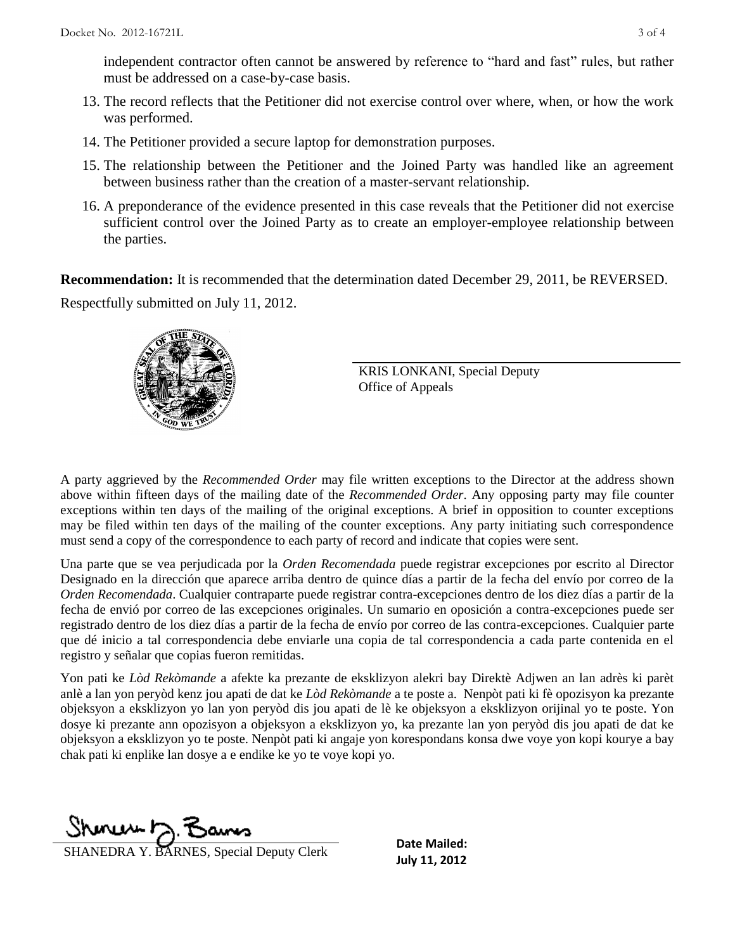independent contractor often cannot be answered by reference to "hard and fast" rules, but rather must be addressed on a case-by-case basis.

- 13. The record reflects that the Petitioner did not exercise control over where, when, or how the work was performed.
- 14. The Petitioner provided a secure laptop for demonstration purposes.
- 15. The relationship between the Petitioner and the Joined Party was handled like an agreement between business rather than the creation of a master-servant relationship.
- 16. A preponderance of the evidence presented in this case reveals that the Petitioner did not exercise sufficient control over the Joined Party as to create an employer-employee relationship between the parties.

**Recommendation:** It is recommended that the determination dated December 29, 2011, be REVERSED. Respectfully submitted on July 11, 2012.



KRIS LONKANI, Special Deputy Office of Appeals

A party aggrieved by the *Recommended Order* may file written exceptions to the Director at the address shown above within fifteen days of the mailing date of the *Recommended Order*. Any opposing party may file counter exceptions within ten days of the mailing of the original exceptions. A brief in opposition to counter exceptions may be filed within ten days of the mailing of the counter exceptions. Any party initiating such correspondence must send a copy of the correspondence to each party of record and indicate that copies were sent.

Una parte que se vea perjudicada por la *Orden Recomendada* puede registrar excepciones por escrito al Director Designado en la dirección que aparece arriba dentro de quince días a partir de la fecha del envío por correo de la *Orden Recomendada*. Cualquier contraparte puede registrar contra-excepciones dentro de los diez días a partir de la fecha de envió por correo de las excepciones originales. Un sumario en oposición a contra-excepciones puede ser registrado dentro de los diez días a partir de la fecha de envío por correo de las contra-excepciones. Cualquier parte que dé inicio a tal correspondencia debe enviarle una copia de tal correspondencia a cada parte contenida en el registro y señalar que copias fueron remitidas.

Yon pati ke *Lòd Rekòmande* a afekte ka prezante de eksklizyon alekri bay Direktè Adjwen an lan adrès ki parèt anlè a lan yon peryòd kenz jou apati de dat ke *Lòd Rekòmande* a te poste a. Nenpòt pati ki fè opozisyon ka prezante objeksyon a eksklizyon yo lan yon peryòd dis jou apati de lè ke objeksyon a eksklizyon orijinal yo te poste. Yon dosye ki prezante ann opozisyon a objeksyon a eksklizyon yo, ka prezante lan yon peryòd dis jou apati de dat ke objeksyon a eksklizyon yo te poste. Nenpòt pati ki angaje yon korespondans konsa dwe voye yon kopi kourye a bay chak pati ki enplike lan dosye a e endike ke yo te voye kopi yo.

 $Shmw \sim R$ 

**SHANEDRA Y. BARNES, Special Deputy Clerk Date Malled:** 

**Date Mailed:**